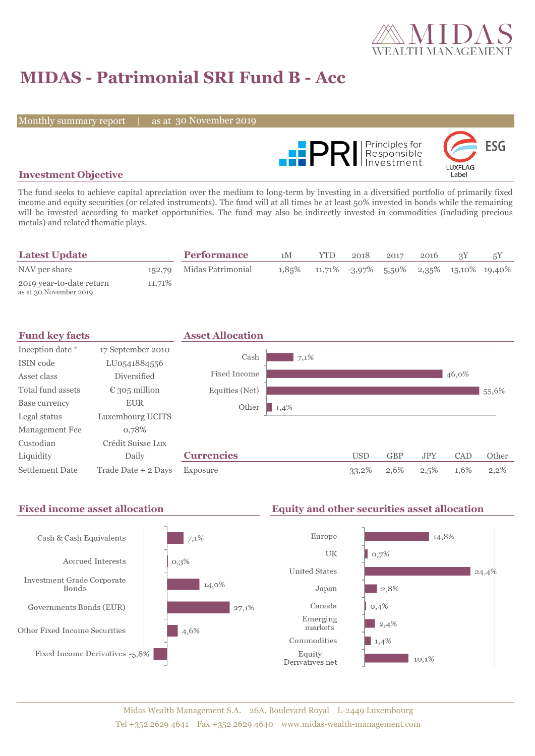

# **MIDAS - Patrimonial SRI Fund B - Acc**

Monthly summary report

as at 30 November 2019



### **Investment Objective**

The fund seeks to achieve capital apreciation over the medium to long-term by investing in a diversified portfolio of primarily fixed income and equity securities (or related instruments). The fund will at all times be at least 50% invested in bonds while the remaining will be invested according to market opportunities. The fund may also be indirectly invested in commodities (including precious metals) and related thematic plays.

| <b>Latest Update</b>                               |        | <b>Performance</b>       | 1M    | <b>YTD</b> | 2018 | 2017 | 2016 |                                            |
|----------------------------------------------------|--------|--------------------------|-------|------------|------|------|------|--------------------------------------------|
| NAV per share                                      |        | 152,79 Midas Patrimonial | 1,85% |            |      |      |      | $11,71\%$ -3,97% 5,50% 2,35% 15,10% 19,40% |
| 2019 year-to-date return<br>as at 30 November 2019 | 11,71% |                          |       |            |      |      |      |                                            |

| <b>Fund key facts</b>  |                        | <b>Asset Allocation</b> |      |            |            |            |       |         |
|------------------------|------------------------|-------------------------|------|------------|------------|------------|-------|---------|
| Inception date *       | 17 September 2010      |                         |      |            |            |            |       |         |
| ISIN code              | LU0541884556           | Cash                    | 7,1% |            |            |            |       |         |
| Asset class            | Diversified            | Fixed Income            |      |            |            |            | 46,0% |         |
| Total fund assets      | $\epsilon$ 305 million | Equities (Net)          |      |            |            |            |       | 55,6%   |
| Base currency          | <b>EUR</b>             | Other<br>1,4%           |      |            |            |            |       |         |
| Legal status           | Luxembourg UCITS       |                         |      |            |            |            |       |         |
| Management Fee         | 0,78%                  |                         |      |            |            |            |       |         |
| Custodian              | Crédit Suisse Lux      |                         |      |            |            |            |       |         |
| Liquidity              | Daily                  | <b>Currencies</b>       |      | <b>USD</b> | <b>GBP</b> | <b>JPY</b> | CAD   | Other   |
| <b>Settlement Date</b> | Trade Date + 2 Days    | Exposure                |      | 33,2%      | 2,6%       | 2,5%       | 1,6%  | $2,2\%$ |

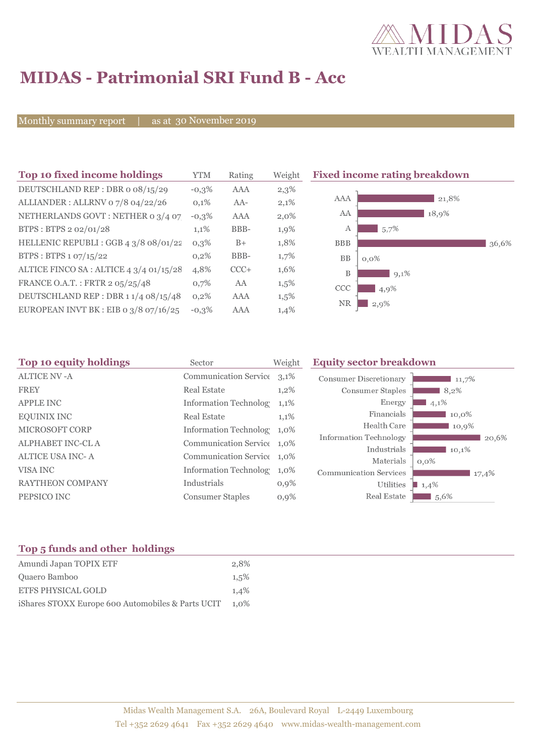

# **MIDAS - Patrimonial SRI Fund B - Acc**

Monthly summary report

30 November 2019

| Top 10 fixed income holdings            | YTM     | Rating | Weigh   |
|-----------------------------------------|---------|--------|---------|
| DEUTSCHLAND REP: DBR o 08/15/29         | $-0,3%$ | AAA    | 2,3%    |
| ALLIANDER: ALLRNV 07/8 04/22/26         | 0,1%    | $AA-$  | 2,1%    |
| NETHERLANDS GOVT: NETHER 0 3/4 07       | $-0,3%$ | AAA    | $2,0\%$ |
| BTPS: BTPS 2 02/01/28                   | 1,1%    | BBB-   | 1,9%    |
| HELLENIC REPUBLI : GGB 4 3/8 08/01/22   | 0.3%    | $B+$   | 1,8%    |
| BTPS: BTPS 1 07/15/22                   | 0,2%    | BBB-   | 1,7%    |
| ALTICE FINCO SA : ALTICE 4 3/4 01/15/28 | 4,8%    | $CCC+$ | 1,6%    |
| FRANCE O.A.T.: FRTR 2 05/25/48          | 0.7%    | AA     | 1,5%    |
| DEUTSCHLAND REP : DBR 1 1/4 08/15/48    | 0,2%    | AAA    | 1,5%    |
| EUROPEAN INVT BK : EIB o 3/8 07/16/25   | $-0.3%$ | AAA    | 1,4%    |



| Sector                  | Weight  | <b>Equity sector breakdown</b>                                                                                                                                                     |                                                    |  |
|-------------------------|---------|------------------------------------------------------------------------------------------------------------------------------------------------------------------------------------|----------------------------------------------------|--|
|                         |         | <b>Consumer Discretionary</b>                                                                                                                                                      | 11,7%                                              |  |
| <b>Real Estate</b>      | $1,2\%$ | Consumer Staples                                                                                                                                                                   | 8,2%                                               |  |
|                         | $1,1\%$ | Energy                                                                                                                                                                             | 4,1%                                               |  |
| <b>Real Estate</b>      | 1,1%    | Financials                                                                                                                                                                         | 10,0%                                              |  |
|                         |         | Health Care                                                                                                                                                                        | 10,9%                                              |  |
|                         |         |                                                                                                                                                                                    | 20,6%                                              |  |
|                         |         |                                                                                                                                                                                    | 10,1%                                              |  |
|                         |         |                                                                                                                                                                                    | $0,0\%$                                            |  |
|                         |         | <b>Communication Services</b>                                                                                                                                                      | 17,4%                                              |  |
| Industrials             | $0,9\%$ | Utilities                                                                                                                                                                          | 1,4%                                               |  |
| <b>Consumer Staples</b> | 0,9%    | Real Estate                                                                                                                                                                        | 1,5,6%                                             |  |
|                         |         | Communication Service 3,1%<br><b>Information Technolog</b><br>Information Technolog 1,0%<br>Communication Service 1,0%<br>Communication Service 1,0%<br>Information Technolog 1,0% | Information Technology<br>Industrials<br>Materials |  |

## **Top 5 funds and other holdings**

| Amundi Japan TOPIX ETF                            | 2.8%    |
|---------------------------------------------------|---------|
| Quaero Bamboo                                     | 1.5%    |
| <b>ETFS PHYSICAL GOLD</b>                         | 1.4%    |
| iShares STOXX Europe 600 Automobiles & Parts UCIT | $1.0\%$ |